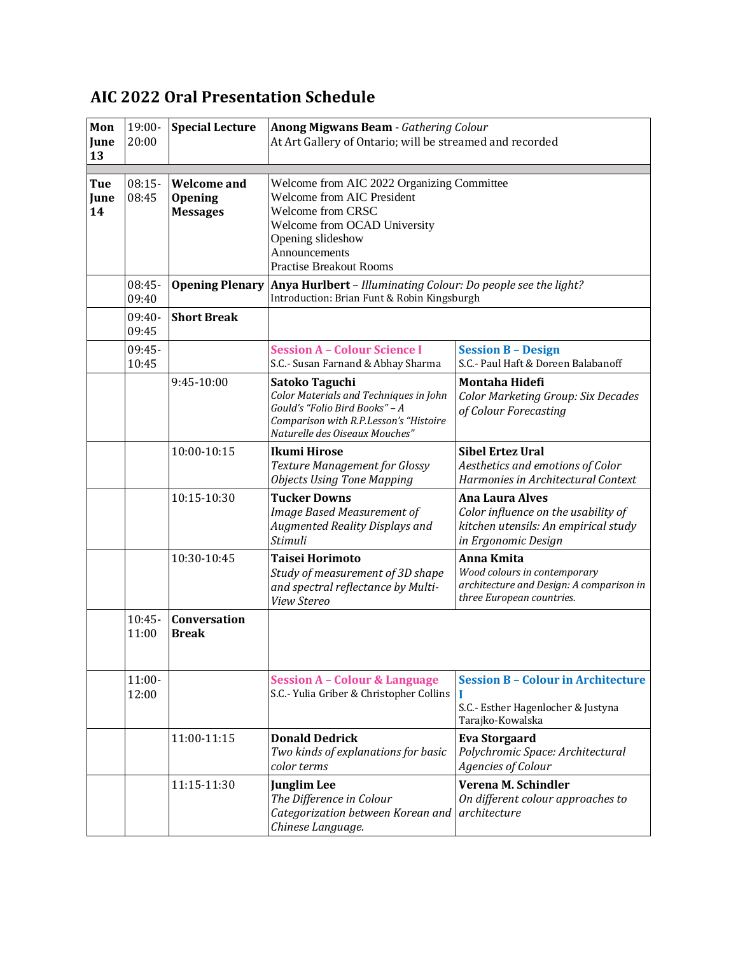| Mon<br>June<br>13 | 19:00-<br>20:00   | <b>Special Lecture</b>                                  | <b>Anong Migwans Beam - Gathering Colour</b><br>At Art Gallery of Ontario; will be streamed and recorded                                                                                                                                                                                                                            |                                                                                                                              |
|-------------------|-------------------|---------------------------------------------------------|-------------------------------------------------------------------------------------------------------------------------------------------------------------------------------------------------------------------------------------------------------------------------------------------------------------------------------------|------------------------------------------------------------------------------------------------------------------------------|
| Tue<br>June<br>14 | $08:15-$<br>08:45 | <b>Welcome</b> and<br><b>Opening</b><br><b>Messages</b> | Welcome from AIC 2022 Organizing Committee<br><b>Welcome from AIC President</b><br><b>Welcome from CRSC</b><br>Welcome from OCAD University<br>Opening slideshow<br>Announcements<br><b>Practise Breakout Rooms</b><br>Anya Hurlbert - Illuminating Colour: Do people see the light?<br>Introduction: Brian Funt & Robin Kingsburgh |                                                                                                                              |
|                   | 08:45-<br>09:40   | <b>Opening Plenary</b>                                  |                                                                                                                                                                                                                                                                                                                                     |                                                                                                                              |
|                   | $09:40-$<br>09:45 | <b>Short Break</b>                                      |                                                                                                                                                                                                                                                                                                                                     |                                                                                                                              |
|                   | 09:45-<br>10:45   |                                                         | <b>Session A - Colour Science I</b><br>S.C.- Susan Farnand & Abhay Sharma                                                                                                                                                                                                                                                           | <b>Session B - Design</b><br>S.C.- Paul Haft & Doreen Balabanoff                                                             |
|                   |                   | 9:45-10:00                                              | Satoko Taguchi<br>Color Materials and Techniques in John<br>Gould's "Folio Bird Books" - A<br>Comparison with R.P.Lesson's "Histoire<br>Naturelle des Oiseaux Mouches"                                                                                                                                                              | <b>Montaha Hidefi</b><br>Color Marketing Group: Six Decades<br>of Colour Forecasting                                         |
|                   |                   | 10:00-10:15                                             | <b>Ikumi Hirose</b><br>Texture Management for Glossy<br><b>Objects Using Tone Mapping</b>                                                                                                                                                                                                                                           | <b>Sibel Ertez Ural</b><br>Aesthetics and emotions of Color<br>Harmonies in Architectural Context                            |
|                   |                   | 10:15-10:30                                             | <b>Tucker Downs</b><br>Image Based Measurement of<br>Augmented Reality Displays and<br>Stimuli                                                                                                                                                                                                                                      | <b>Ana Laura Alves</b><br>Color influence on the usability of<br>kitchen utensils: An empirical study<br>in Ergonomic Design |
|                   |                   | 10:30-10:45                                             | <b>Taisei Horimoto</b><br>Study of measurement of 3D shape<br>and spectral reflectance by Multi-<br><b>View Stereo</b>                                                                                                                                                                                                              | Anna Kmita<br>Wood colours in contemporary<br>architecture and Design: A comparison in<br>three European countries.          |
|                   | $10:45-$<br>11:00 | <b>Conversation</b><br><b>Break</b>                     |                                                                                                                                                                                                                                                                                                                                     |                                                                                                                              |
|                   | $11:00-$<br>12:00 |                                                         | <b>Session A - Colour &amp; Language</b><br>S.C.- Yulia Griber & Christopher Collins                                                                                                                                                                                                                                                | <b>Session B - Colour in Architecture</b><br>S.C.- Esther Hagenlocher & Justyna<br>Tarajko-Kowalska                          |
|                   |                   | 11:00-11:15                                             | <b>Donald Dedrick</b><br>Two kinds of explanations for basic<br>color terms                                                                                                                                                                                                                                                         | <b>Eva Storgaard</b><br>Polychromic Space: Architectural<br>Agencies of Colour                                               |
|                   |                   | 11:15-11:30                                             | <b>Junglim Lee</b><br>The Difference in Colour<br>Categorization between Korean and<br>Chinese Language.                                                                                                                                                                                                                            | Verena M. Schindler<br>On different colour approaches to<br>architecture                                                     |

## **AIC 2022 Oral Presentation Schedule**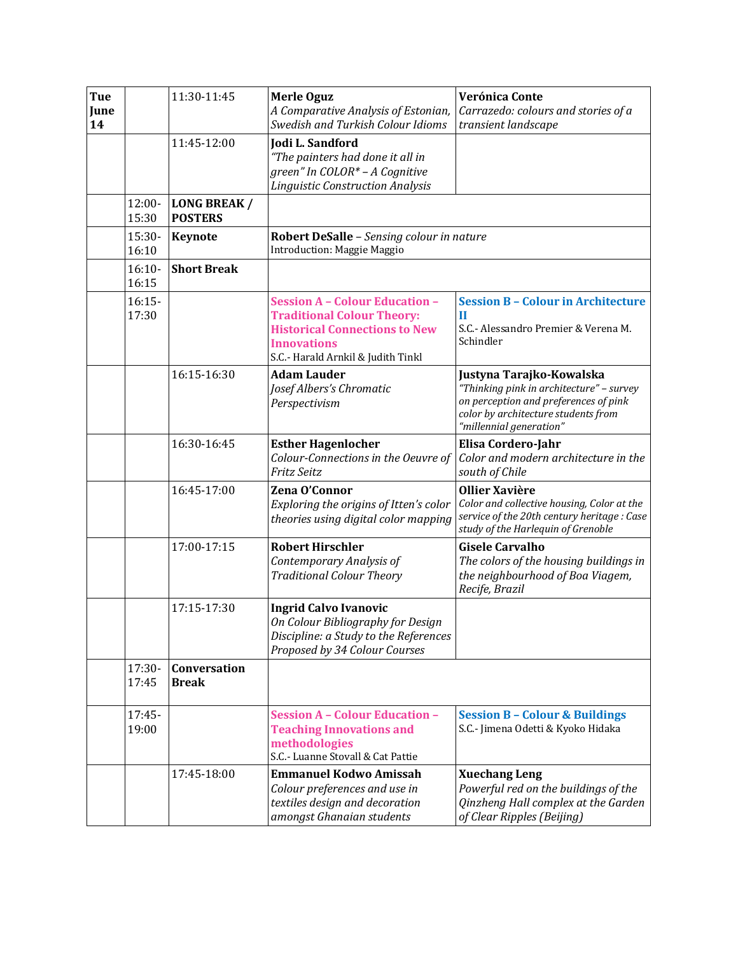| Tue<br>June<br>14 |                   | 11:30-11:45                           | <b>Merle Oguz</b><br>A Comparative Analysis of Estonian,<br>Swedish and Turkish Colour Idioms                                                                                  | Verónica Conte<br>Carrazedo: colours and stories of a<br>transient landscape                                                                                                    |
|-------------------|-------------------|---------------------------------------|--------------------------------------------------------------------------------------------------------------------------------------------------------------------------------|---------------------------------------------------------------------------------------------------------------------------------------------------------------------------------|
|                   |                   | 11:45-12:00                           | Jodi L. Sandford<br>"The painters had done it all in<br>green" In COLOR* - A Cognitive<br><b>Linguistic Construction Analysis</b>                                              |                                                                                                                                                                                 |
|                   | 12:00-<br>15:30   | <b>LONG BREAK /</b><br><b>POSTERS</b> |                                                                                                                                                                                |                                                                                                                                                                                 |
|                   | $15:30-$<br>16:10 | <b>Keynote</b>                        | Robert DeSalle - Sensing colour in nature<br>Introduction: Maggie Maggio                                                                                                       |                                                                                                                                                                                 |
|                   | $16:10-$<br>16:15 | <b>Short Break</b>                    |                                                                                                                                                                                |                                                                                                                                                                                 |
|                   | $16:15-$<br>17:30 |                                       | <b>Session A - Colour Education -</b><br><b>Traditional Colour Theory:</b><br><b>Historical Connections to New</b><br><b>Innovations</b><br>S.C.- Harald Arnkil & Judith Tinkl | <b>Session B - Colour in Architecture</b><br>$\mathbf{I}$<br>S.C.- Alessandro Premier & Verena M.<br>Schindler                                                                  |
|                   |                   | 16:15-16:30                           | <b>Adam Lauder</b><br>Josef Albers's Chromatic<br>Perspectivism                                                                                                                | Justyna Tarajko-Kowalska<br>"Thinking pink in architecture" - survey<br>on perception and preferences of pink<br>color by architecture students from<br>"millennial generation" |
|                   |                   | 16:30-16:45                           | <b>Esther Hagenlocher</b><br>Colour-Connections in the Oeuvre of<br><b>Fritz Seitz</b>                                                                                         | Elisa Cordero-Jahr<br>Color and modern architecture in the<br>south of Chile                                                                                                    |
|                   |                   | 16:45-17:00                           | Zena O'Connor<br>Exploring the origins of Itten's color<br>theories using digital color mapping                                                                                | <b>Ollier Xavière</b><br>Color and collective housing, Color at the<br>service of the 20th century heritage : Case<br>study of the Harlequin of Grenoble                        |
|                   |                   | 17:00-17:15                           | <b>Robert Hirschler</b><br>Contemporary Analysis of<br><b>Traditional Colour Theory</b>                                                                                        | <b>Gisele Carvalho</b><br>The colors of the housing buildings in<br>the neighbourhood of Boa Viagem,<br>Recife, Brazil                                                          |
|                   |                   | 17:15-17:30                           | <b>Ingrid Calvo Ivanovic</b><br>On Colour Bibliography for Design<br>Discipline: a Study to the References<br>Proposed by 34 Colour Courses                                    |                                                                                                                                                                                 |
|                   | $17:30-$<br>17:45 | Conversation<br><b>Break</b>          |                                                                                                                                                                                |                                                                                                                                                                                 |
|                   | 17:45-<br>19:00   |                                       | <b>Session A - Colour Education -</b><br><b>Teaching Innovations and</b><br>methodologies<br>S.C.- Luanne Stovall & Cat Pattie                                                 | <b>Session B - Colour &amp; Buildings</b><br>S.C.- Jimena Odetti & Kyoko Hidaka                                                                                                 |
|                   |                   | 17:45-18:00                           | <b>Emmanuel Kodwo Amissah</b><br>Colour preferences and use in<br>textiles design and decoration<br>amongst Ghanaian students                                                  | <b>Xuechang Leng</b><br>Powerful red on the buildings of the<br>Qinzheng Hall complex at the Garden<br>of Clear Ripples (Beijing)                                               |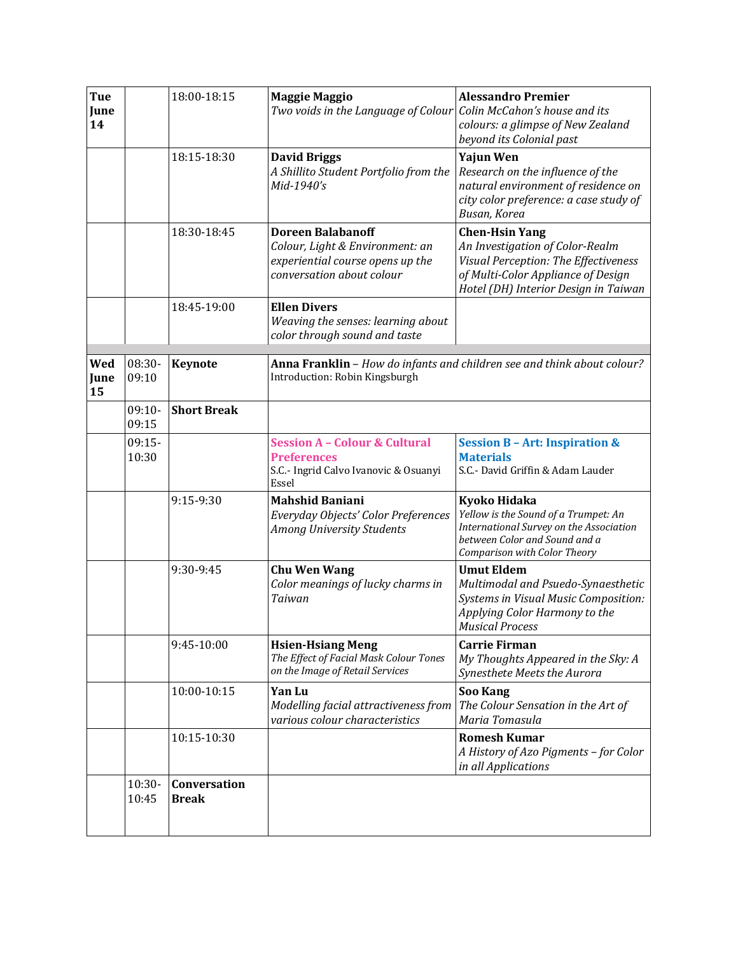| Tue<br>June<br>14 |                   | 18:00-18:15                  | <b>Maggie Maggio</b><br>Two voids in the Language of Colour                                                                  | <b>Alessandro Premier</b><br>Colin McCahon's house and its<br>colours: a glimpse of New Zealand<br>beyond its Colonial past                                                    |
|-------------------|-------------------|------------------------------|------------------------------------------------------------------------------------------------------------------------------|--------------------------------------------------------------------------------------------------------------------------------------------------------------------------------|
|                   |                   | 18:15-18:30                  | <b>David Briggs</b><br>A Shillito Student Portfolio from the<br>Mid-1940's                                                   | Yajun Wen<br>Research on the influence of the<br>natural environment of residence on<br>city color preference: a case study of<br>Busan, Korea                                 |
|                   |                   | 18:30-18:45                  | <b>Doreen Balabanoff</b><br>Colour, Light & Environment: an<br>experiential course opens up the<br>conversation about colour | <b>Chen-Hsin Yang</b><br>An Investigation of Color-Realm<br>Visual Perception: The Effectiveness<br>of Multi-Color Appliance of Design<br>Hotel (DH) Interior Design in Taiwan |
|                   |                   | 18:45-19:00                  | <b>Ellen Divers</b><br>Weaving the senses: learning about<br>color through sound and taste                                   |                                                                                                                                                                                |
| Wed<br>June<br>15 | 08:30-<br>09:10   | <b>Keynote</b>               | Introduction: Robin Kingsburgh                                                                                               | Anna Franklin - How do infants and children see and think about colour?                                                                                                        |
|                   | $09:10-$<br>09:15 | <b>Short Break</b>           |                                                                                                                              |                                                                                                                                                                                |
|                   | $09:15-$<br>10:30 |                              | <b>Session A - Colour &amp; Cultural</b><br><b>Preferences</b><br>S.C.- Ingrid Calvo Ivanovic & Osuanyi<br>Essel             | <b>Session B-Art: Inspiration &amp;</b><br><b>Materials</b><br>S.C.- David Griffin & Adam Lauder                                                                               |
|                   |                   | 9:15-9:30                    | <b>Mahshid Baniani</b><br>Everyday Objects' Color Preferences<br>Among University Students                                   | Kyoko Hidaka<br>Yellow is the Sound of a Trumpet: An<br>International Survey on the Association<br>between Color and Sound and a<br>Comparison with Color Theory               |
|                   |                   | 9:30-9:45                    | <b>Chu Wen Wang</b><br>Color meanings of lucky charms in<br>Taiwan                                                           | <b>Umut Eldem</b><br>Multimodal and Psuedo-Synaesthetic<br>Systems in Visual Music Composition:<br>Applying Color Harmony to the<br><b>Musical Process</b>                     |
|                   |                   | 9:45-10:00                   | <b>Hsien-Hsiang Meng</b><br>The Effect of Facial Mask Colour Tones<br>on the Image of Retail Services                        | <b>Carrie Firman</b><br>My Thoughts Appeared in the Sky: A<br>Synesthete Meets the Aurora                                                                                      |
|                   |                   | 10:00-10:15                  | Yan Lu<br>Modelling facial attractiveness from<br>various colour characteristics                                             | <b>Soo Kang</b><br>The Colour Sensation in the Art of<br>Maria Tomasula                                                                                                        |
|                   |                   | 10:15-10:30                  |                                                                                                                              | <b>Romesh Kumar</b><br>A History of Azo Pigments - for Color<br>in all Applications                                                                                            |
|                   | $10:30-$<br>10:45 | Conversation<br><b>Break</b> |                                                                                                                              |                                                                                                                                                                                |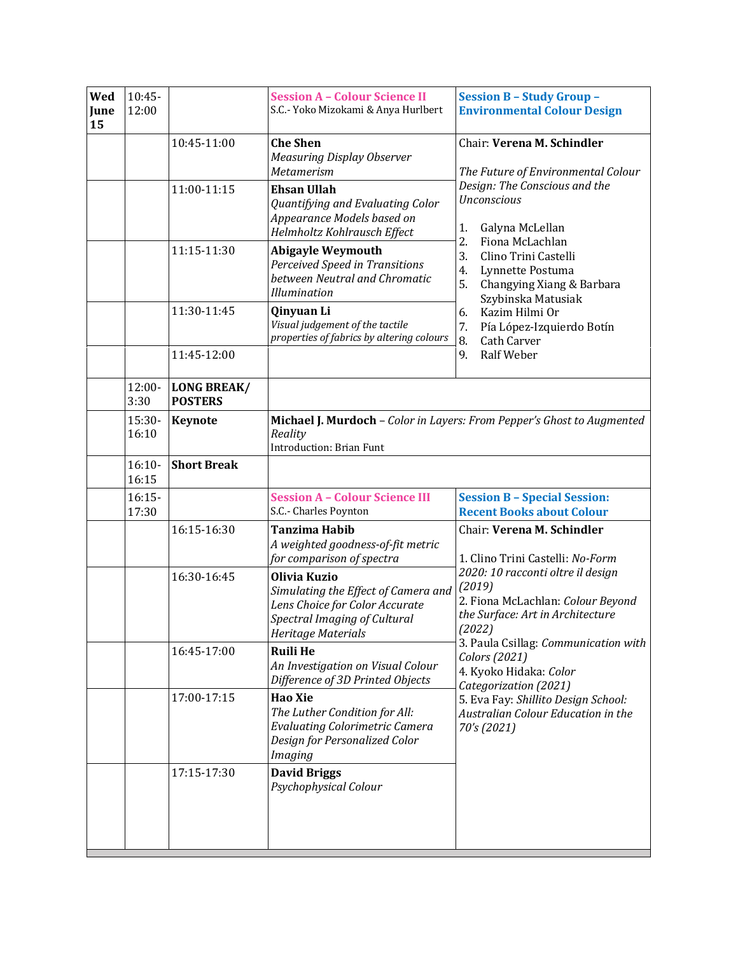| Wed<br>June<br>15 | $10:45-$<br>12:00 |                                      | <b>Session A - Colour Science II</b><br>S.C.- Yoko Mizokami & Anya Hurlbert                                                                 | <b>Session B - Study Group -</b><br><b>Environmental Colour Design</b>                                                                                                                               |
|-------------------|-------------------|--------------------------------------|---------------------------------------------------------------------------------------------------------------------------------------------|------------------------------------------------------------------------------------------------------------------------------------------------------------------------------------------------------|
|                   |                   | 10:45-11:00                          | <b>Che Shen</b><br><b>Measuring Display Observer</b><br><b>Metamerism</b>                                                                   | Chair: Verena M. Schindler<br>The Future of Environmental Colour<br>Design: The Conscious and the<br><b>Unconscious</b><br>Galyna McLellan<br>1.                                                     |
|                   |                   | 11:00-11:15                          | <b>Ehsan Ullah</b><br>Quantifying and Evaluating Color<br>Appearance Models based on<br>Helmholtz Kohlrausch Effect                         |                                                                                                                                                                                                      |
|                   |                   | 11:15-11:30                          | <b>Abigayle Weymouth</b><br>Perceived Speed in Transitions<br>between Neutral and Chromatic<br><b>Illumination</b>                          | 2.<br>Fiona McLachlan<br>3.<br>Clino Trini Castelli<br>4.<br>Lynnette Postuma<br>5.<br>Changying Xiang & Barbara<br>Szybinska Matusiak                                                               |
|                   |                   | 11:30-11:45                          | Qinyuan Li<br>Visual judgement of the tactile<br>properties of fabrics by altering colours                                                  | Kazim Hilmi Or<br>6.<br>Pía López-Izquierdo Botín<br>7.<br>8.<br><b>Cath Carver</b>                                                                                                                  |
|                   |                   | 11:45-12:00                          |                                                                                                                                             | Ralf Weber<br>9.                                                                                                                                                                                     |
|                   | 12:00-<br>3:30    | <b>LONG BREAK/</b><br><b>POSTERS</b> |                                                                                                                                             |                                                                                                                                                                                                      |
|                   | 15:30-<br>16:10   | <b>Keynote</b>                       | Reality<br><b>Introduction: Brian Funt</b>                                                                                                  | Michael J. Murdoch - Color in Layers: From Pepper's Ghost to Augmented                                                                                                                               |
|                   | $16:10-$<br>16:15 | <b>Short Break</b>                   |                                                                                                                                             |                                                                                                                                                                                                      |
|                   | $16:15-$<br>17:30 |                                      | <b>Session A - Colour Science III</b><br>S.C.- Charles Poynton                                                                              | <b>Session B - Special Session:</b><br><b>Recent Books about Colour</b>                                                                                                                              |
|                   |                   | 16:15-16:30                          | <b>Tanzima Habib</b><br>A weighted goodness-of-fit metric<br>for comparison of spectra                                                      | Chair: Verena M. Schindler<br>1. Clino Trini Castelli: No-Form                                                                                                                                       |
|                   |                   | 16:30-16:45                          | Olivia Kuzio<br>Simulating the Effect of Camera and<br>Lens Choice for Color Accurate<br>Spectral Imaging of Cultural<br>Heritage Materials | 2020: 10 racconti oltre il design<br>(2019)<br>2. Fiona McLachlan: Colour Beyond<br>the Surface: Art in Architecture<br>(2022)                                                                       |
|                   |                   | 16:45-17:00                          | <b>Ruili He</b><br>An Investigation on Visual Colour<br>Difference of 3D Printed Objects                                                    | 3. Paula Csillag: Communication with<br>Colors (2021)<br>4. Kyoko Hidaka: Color<br>Categorization (2021)<br>5. Eva Fay: Shillito Design School:<br>Australian Colour Education in the<br>70's (2021) |
|                   |                   | 17:00-17:15                          | <b>Hao Xie</b><br>The Luther Condition for All:<br><b>Evaluating Colorimetric Camera</b><br>Design for Personalized Color<br><b>Imaging</b> |                                                                                                                                                                                                      |
|                   |                   | 17:15-17:30                          | <b>David Briggs</b><br>Psychophysical Colour                                                                                                |                                                                                                                                                                                                      |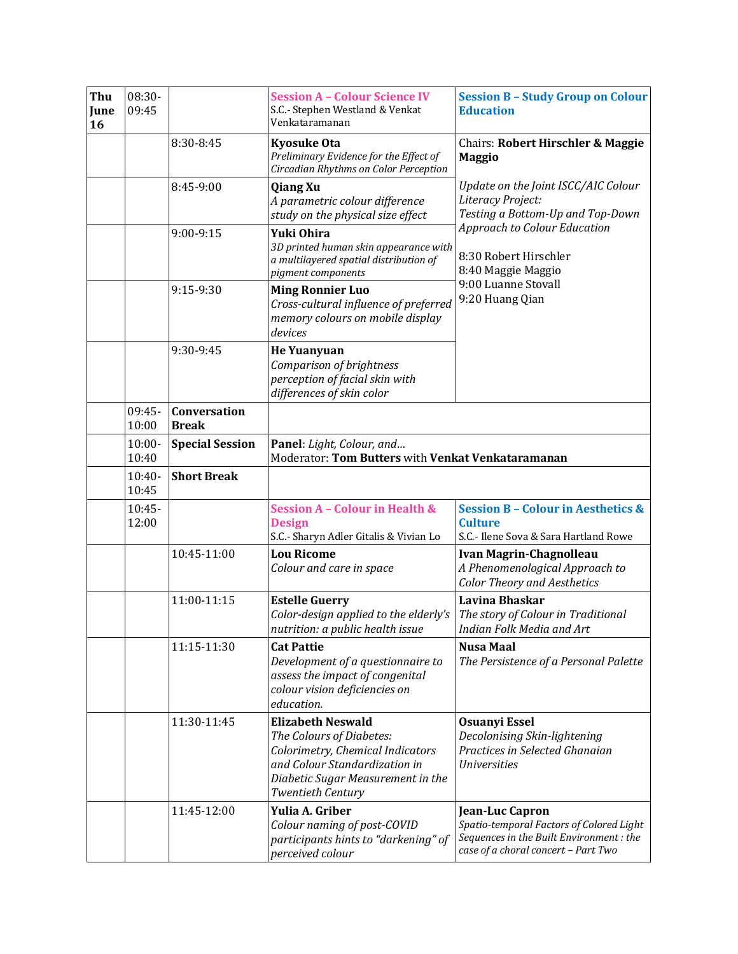| Thu<br>June<br>16 | 08:30-<br>09:45    |                                     | <b>Session A - Colour Science IV</b><br>S.C.- Stephen Westland & Venkat<br>Venkataramanan                                                                                           | <b>Session B - Study Group on Colour</b><br><b>Education</b>                                                                                                                |
|-------------------|--------------------|-------------------------------------|-------------------------------------------------------------------------------------------------------------------------------------------------------------------------------------|-----------------------------------------------------------------------------------------------------------------------------------------------------------------------------|
|                   |                    | 8:30-8:45                           | <b>Kyosuke Ota</b><br>Preliminary Evidence for the Effect of<br>Circadian Rhythms on Color Perception                                                                               | <b>Chairs: Robert Hirschler &amp; Maggie</b><br><b>Maggio</b>                                                                                                               |
|                   |                    | 8:45-9:00                           | <b>Qiang Xu</b><br>A parametric colour difference<br>study on the physical size effect                                                                                              | Update on the Joint ISCC/AIC Colour<br>Literacy Project:<br>Testing a Bottom-Up and Top-Down<br>Approach to Colour Education<br>8:30 Robert Hirschler<br>8:40 Maggie Maggio |
|                   |                    | 9:00-9:15                           | Yuki Ohira<br>3D printed human skin appearance with<br>a multilayered spatial distribution of<br>pigment components                                                                 |                                                                                                                                                                             |
|                   |                    | 9:15-9:30                           | <b>Ming Ronnier Luo</b><br>Cross-cultural influence of preferred<br>memory colours on mobile display<br>devices                                                                     | 9:00 Luanne Stovall<br>9:20 Huang Qian                                                                                                                                      |
|                   |                    | 9:30-9:45                           | <b>He Yuanyuan</b><br>Comparison of brightness<br>perception of facial skin with<br>differences of skin color                                                                       |                                                                                                                                                                             |
|                   | 09:45-<br>10:00    | <b>Conversation</b><br><b>Break</b> |                                                                                                                                                                                     |                                                                                                                                                                             |
|                   | $10:00 -$<br>10:40 | <b>Special Session</b>              | Panel: Light, Colour, and<br>Moderator: Tom Butters with Venkat Venkataramanan                                                                                                      |                                                                                                                                                                             |
|                   | $10:40-$<br>10:45  | <b>Short Break</b>                  |                                                                                                                                                                                     |                                                                                                                                                                             |
|                   | $10:45-$<br>12:00  |                                     | <b>Session A - Colour in Health &amp;</b><br><b>Design</b><br>S.C.- Sharyn Adler Gitalis & Vivian Lo                                                                                | <b>Session B - Colour in Aesthetics &amp;</b><br><b>Culture</b><br>S.C.- Ilene Sova & Sara Hartland Rowe                                                                    |
|                   |                    | 10:45-11:00                         | <b>Lou Ricome</b><br>Colour and care in space                                                                                                                                       | <b>Ivan Magrin-Chagnolleau</b><br>A Phenomenological Approach to<br><b>Color Theory and Aesthetics</b>                                                                      |
|                   |                    | 11:00-11:15                         | <b>Estelle Guerry</b><br>Color-design applied to the elderly's<br>nutrition: a public health issue                                                                                  | Lavina Bhaskar<br>The story of Colour in Traditional<br>Indian Folk Media and Art                                                                                           |
|                   |                    | 11:15-11:30                         | <b>Cat Pattie</b><br>Development of a questionnaire to<br>assess the impact of congenital<br>colour vision deficiencies on<br>education.                                            | <b>Nusa Maal</b><br>The Persistence of a Personal Palette                                                                                                                   |
|                   |                    | 11:30-11:45                         | <b>Elizabeth Neswald</b><br>The Colours of Diabetes:<br>Colorimetry, Chemical Indicators<br>and Colour Standardization in<br>Diabetic Sugar Measurement in the<br>Twentieth Century | <b>Osuanyi Essel</b><br>Decolonising Skin-lightening<br>Practices in Selected Ghanaian<br><b>Universities</b>                                                               |
|                   |                    | 11:45-12:00                         | Yulia A. Griber<br>Colour naming of post-COVID<br>participants hints to "darkening" of<br>perceived colour                                                                          | Jean-Luc Capron<br>Spatio-temporal Factors of Colored Light<br>Sequences in the Built Environment : the<br>case of a choral concert - Part Two                              |